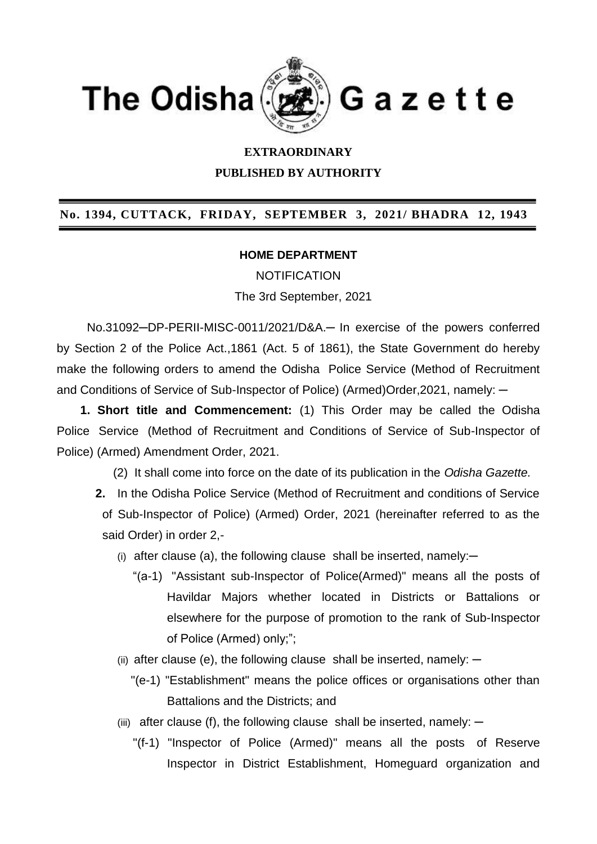

## **EXTRAORDINARY**

**PUBLISHED BY AUTHORITY**

## **No. 1394, CUTTACK, FRIDAY, SEPTEMBER 3, 2021/ BHADRA 12, 1943**

## **HOME DEPARTMENT**

NOTIFICATION

The 3rd September, 2021

 No.31092─DP-PERII-MISC-0011/2021/D&A.─ In exercise of the powers conferred by Section 2 of the Police Act.,1861 (Act. 5 of 1861), the State Government do hereby make the following orders to amend the Odisha Police Service (Method of Recruitment and Conditions of Service of Sub-Inspector of Police) (Armed)Order, 2021, namely:  $-$ 

 **1. Short title and Commencement:** (1) This Order may be called the Odisha Police Service (Method of Recruitment and Conditions of Service of Sub-Inspector of Police) (Armed) Amendment Order, 2021.

(2)It shall come into force on the date of its publication in the *Odisha Gazette.*

- **2.** In the Odisha Police Service (Method of Recruitment and conditions of Service of Sub-Inspector of Police) (Armed) Order, 2021 (hereinafter referred to as the said Order) in order 2,-
	- (i) after clause (a), the following clause shall be inserted, namely: $-$ 
		- "(a-1) "Assistant sub-Inspector of Police(Armed)" means all the posts of Havildar Majors whether located in Districts or Battalions or elsewhere for the purpose of promotion to the rank of Sub-Inspector of Police (Armed) only;";
	- (ii) after clause (e), the following clause shall be inserted, namely:  $-$ 
		- "(e-1) "Establishment" means the police offices or organisations other than Battalions and the Districts; and
	- (iii) after clause (f), the following clause shall be inserted, namely:  $-$ 
		- "(f-1) "Inspector of Police (Armed)" means all the posts of Reserve Inspector in District Establishment, Homeguard organization and